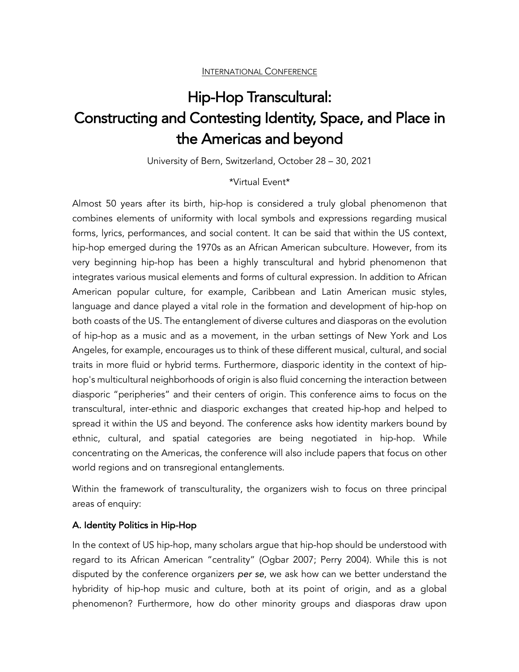# Hip-Hop Transcultural: Constructing and Contesting Identity, Space, and Place in the Americas and beyond

University of Bern, Switzerland, October 28 – 30, 2021

## \*Virtual Event\*

Almost 50 years after its birth, hip-hop is considered a truly global phenomenon that combines elements of uniformity with local symbols and expressions regarding musical forms, lyrics, performances, and social content. It can be said that within the US context, hip-hop emerged during the 1970s as an African American subculture. However, from its very beginning hip-hop has been a highly transcultural and hybrid phenomenon that integrates various musical elements and forms of cultural expression. In addition to African American popular culture, for example, Caribbean and Latin American music styles, language and dance played a vital role in the formation and development of hip-hop on both coasts of the US. The entanglement of diverse cultures and diasporas on the evolution of hip-hop as a music and as a movement, in the urban settings of New York and Los Angeles, for example, encourages us to think of these different musical, cultural, and social traits in more fluid or hybrid terms. Furthermore, diasporic identity in the context of hiphop's multicultural neighborhoods of origin is also fluid concerning the interaction between diasporic "peripheries" and their centers of origin. This conference aims to focus on the transcultural, inter-ethnic and diasporic exchanges that created hip-hop and helped to spread it within the US and beyond. The conference asks how identity markers bound by ethnic, cultural, and spatial categories are being negotiated in hip-hop. While concentrating on the Americas, the conference will also include papers that focus on other world regions and on transregional entanglements.

Within the framework of transculturality, the organizers wish to focus on three principal areas of enquiry:

## A. Identity Politics in Hip-Hop

In the context of US hip-hop, many scholars argue that hip-hop should be understood with regard to its African American "centrality" (Ogbar 2007; Perry 2004). While this is not disputed by the conference organizers *per se*, we ask how can we better understand the hybridity of hip-hop music and culture, both at its point of origin, and as a global phenomenon? Furthermore, how do other minority groups and diasporas draw upon